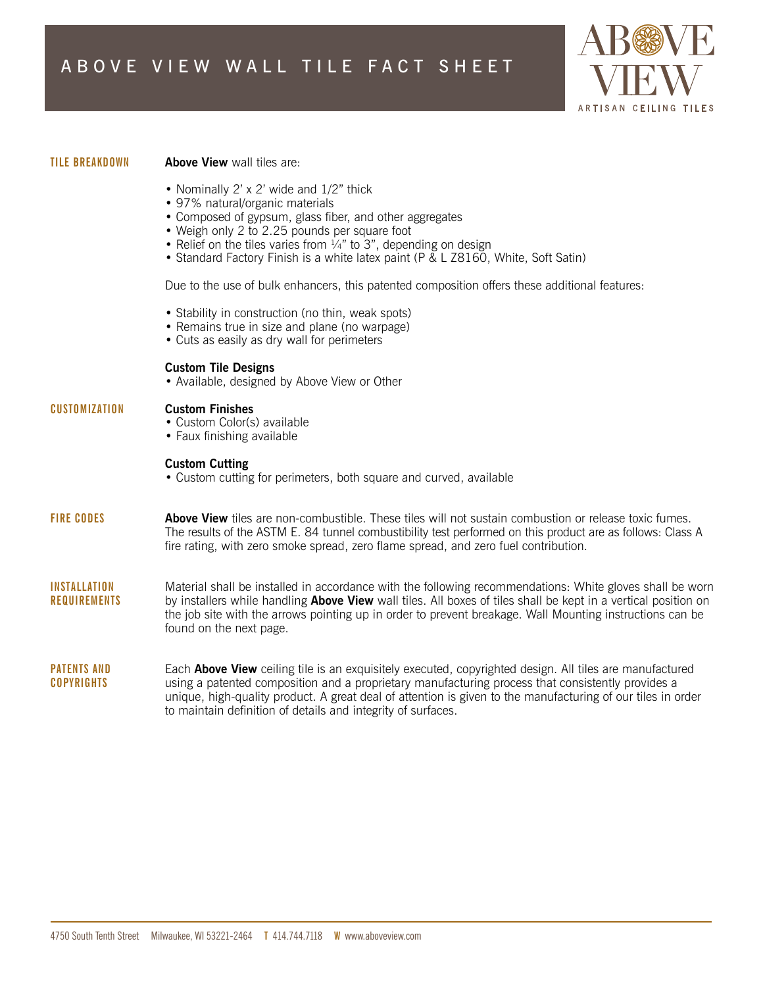

### **TILE BREAKDOWN**

## **Above View** wall tiles are:

- Nominally 2' x 2' wide and 1/2" thick
- 97% natural/organic materials
- Composed of gypsum, glass fiber, and other aggregates
- Weigh only 2 to 2.25 pounds per square foot
- Relief on the tiles varies from  $\frac{1}{4}$ " to 3", depending on design
- Standard Factory Finish is a white latex paint (P & L Z8160, White, Soft Satin)

Due to the use of bulk enhancers, this patented composition offers these additional features:

- Stability in construction (no thin, weak spots)
- Remains true in size and plane (no warpage)
- Cuts as easily as dry wall for perimeters

# **Custom Tile Designs**

• Available, designed by Above View or Other

#### **CUSTOMIZATION Custom Finishes**

- Custom Color(s) available
- Faux finishing available

# **Custom Cutting**

- Custom cutting for perimeters, both square and curved, available
- **FIRE CODES Above View** tiles are non-combustible. These tiles will not sustain combustion or release toxic fumes. The results of the ASTM E. 84 tunnel combustibility test performed on this product are as follows: Class A fire rating, with zero smoke spread, zero flame spread, and zero fuel contribution.
- **INSTALLATION REQUIREMENTS** Material shall be installed in accordance with the following recommendations: White gloves shall be worn by installers while handling **Above View** wall tiles. All boxes of tiles shall be kept in a vertical position on the job site with the arrows pointing up in order to prevent breakage. Wall Mounting instructions can be found on the next page.
- **PATENTS AND COPYRIGHTS** Each **Above View** ceiling tile is an exquisitely executed, copyrighted design. All tiles are manufactured using a patented composition and a proprietary manufacturing process that consistently provides a unique, high-quality product. A great deal of attention is given to the manufacturing of our tiles in order to maintain definition of details and integrity of surfaces.